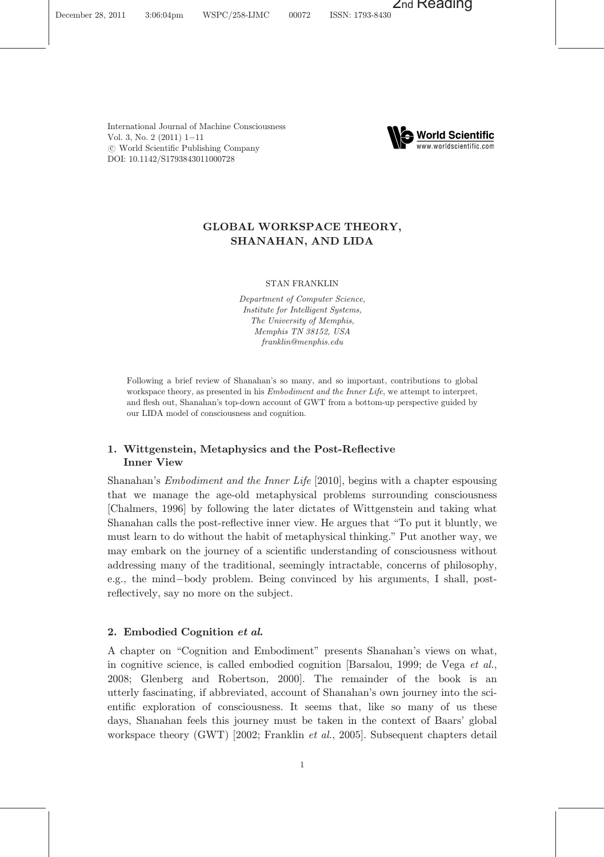International Journal of Machine Consciousness Vol. 3, No. 2  $(2011)$  1-11  $\odot$  World Scientific Publishing Company DOI: 10.1142/S1793843011000728



# GLOBAL WORKSPACE THEORY, SHANAHAN, AND LIDA

STAN FRANKLIN

Department of Computer Science, Institute for Intelligent Systems, The University of Memphis, Memphis TN 38152, USA franklin@menphis.edu

Following a brief review of Shanahan's so many, and so important, contributions to global workspace theory, as presented in his *Embodiment and the Inner Life*, we attempt to interpret, and flesh out, Shanahan's top-down account of GWT from a bottom-up perspective guided by our LIDA model of consciousness and cognition.

## 1. Wittgenstein, Metaphysics and the Post-Reflective Inner View

Shanahan's Embodiment and the Inner Life [2010], begins with a chapter espousing that we manage the age-old metaphysical problems surrounding consciousness [[Chalmers, 1996](#page-9-0)] by following the later dictates of Wittgenstein and taking what Shanahan calls the post-reflective inner view. He argues that "To put it bluntly, we must learn to do without the habit of metaphysical thinking." Put another way, we may embark on the journey of a scientific understanding of consciousness without addressing many of the traditional, seemingly intractable, concerns of philosophy, e.g., the mind-body problem. Being convinced by his arguments, I shall, postreflectively, say no more on the subject.

## 2. Embodied Cognition et al.

A chapter on \Cognition and Embodiment" presents Shanahan's views on what, in cognitive science, is called embodied cognition [\[Barsalou](#page-9-0), [1999; de Vega](#page-9-0) et al., [2008](#page-9-0); [Glenberg and Robertson, 2000\]](#page-10-0). The remainder of the book is an utterly fascinating, if abbreviated, account of Shanahan's own journey into the scientific exploration of consciousness. It seems that, like so many of us these days, Shanahan feels this journey must be taken in the context of Baars' global workspace theory (GWT) [2002; [Franklin](#page-10-0) et al., [2005](#page-10-0)]. Subsequent chapters detail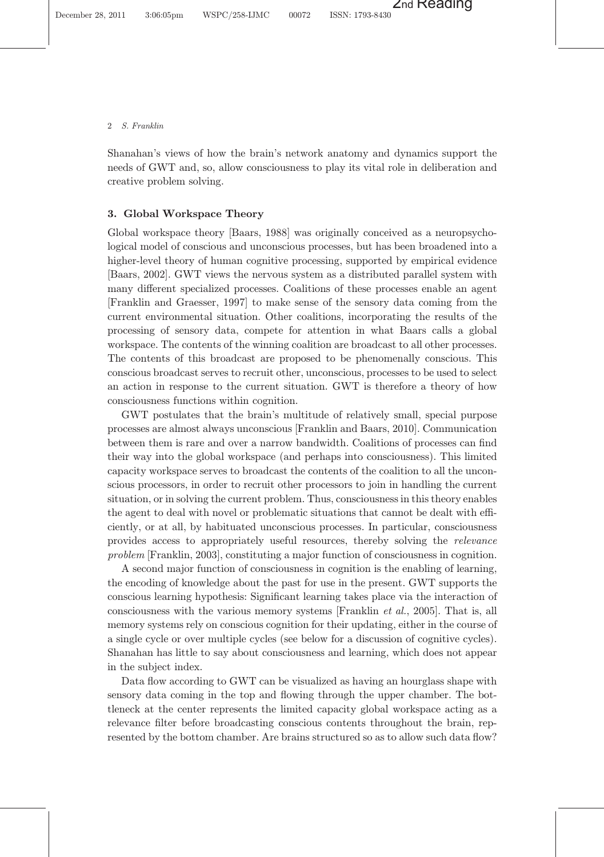December 28, 2011 3:06:05pm WSPC/258-IJMC 00072 ISSN: 1793-8430

### 2 S. Franklin

Shanahan's views of how the brain's network anatomy and dynamics support the needs of GWT and, so, allow consciousness to play its vital role in deliberation and creative problem solving.

## 3. Global Workspace Theory

Global workspace theory [\[Baars, 1988](#page-9-0)] was originally conceived as a neuropsychological model of conscious and unconscious processes, but has been broadened into a higher-level theory of human cognitive processing, supported by empirical evidence [[Baars, 2002](#page-9-0)]. GWT views the nervous system as a distributed parallel system with many different specialized processes. Coalitions of these processes enable an agent [[Franklin and Graesser, 1997](#page-10-0)] to make sense of the sensory data coming from the current environmental situation. Other coalitions, incorporating the results of the processing of sensory data, compete for attention in what Baars calls a global workspace. The contents of the winning coalition are broadcast to all other processes. The contents of this broadcast are proposed to be phenomenally conscious. This conscious broadcast serves to recruit other, unconscious, processes to be used to select an action in response to the current situation. GWT is therefore a theory of how consciousness functions within cognition.

GWT postulates that the brain's multitude of relatively small, special purpose processes are almost always unconscious [\[Franklin and Baars, 2010\]](#page-10-0). Communication between them is rare and over a narrow bandwidth. Coalitions of processes can find their way into the global workspace (and perhaps into consciousness). This limited capacity workspace serves to broadcast the contents of the coalition to all the unconscious processors, in order to recruit other processors to join in handling the current situation, or in solving the current problem. Thus, consciousness in this theory enables the agent to deal with novel or problematic situations that cannot be dealt with efficiently, or at all, by habituated unconscious processes. In particular, consciousness provides access to appropriately useful resources, thereby solving the relevance problem [[Franklin](#page-9-0), [2003\]](#page-9-0), constituting a major function of consciousness in cognition.

A second major function of consciousness in cognition is the enabling of learning, the encoding of knowledge about the past for use in the present. GWT supports the conscious learning hypothesis: Significant learning takes place via the interaction of consciousness with the various memory systems [\[Franklin](#page-10-0) et al., [2005\]](#page-10-0). That is, all memory systems rely on conscious cognition for their updating, either in the course of a single cycle or over multiple cycles (see below for a discussion of cognitive cycles). Shanahan has little to say about consciousness and learning, which does not appear in the subject index.

Data flow according to GWT can be visualized as having an hourglass shape with sensory data coming in the top and flowing through the upper chamber. The bottleneck at the center represents the limited capacity global workspace acting as a relevance filter before broadcasting conscious contents throughout the brain, represented by the bottom chamber. Are brains structured so as to allow such data flow?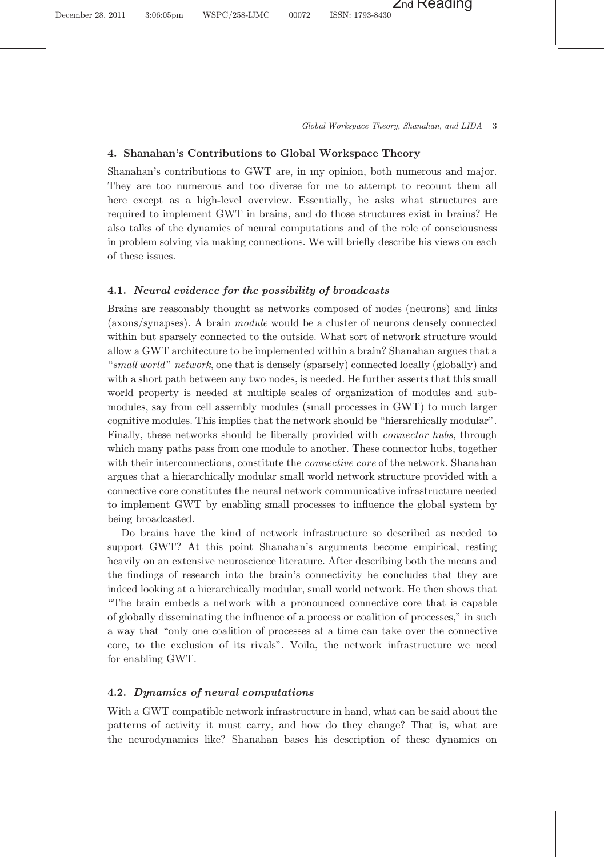December 28, 2011 3:06:05pm WSPC/258-IJMC 00072 ISSN: 1793-8430

Global Workspace Theory, Shanahan, and LIDA 3

### 4. Shanahan's Contributions to Global Workspace Theory

Shanahan's contributions to GWT are, in my opinion, both numerous and major. They are too numerous and too diverse for me to attempt to recount them all here except as a high-level overview. Essentially, he asks what structures are required to implement GWT in brains, and do those structures exist in brains? He also talks of the dynamics of neural computations and of the role of consciousness in problem solving via making connections. We will briefly describe his views on each of these issues.

## 4.1. Neural evidence for the possibility of broadcasts

Brains are reasonably thought as networks composed of nodes (neurons) and links (axons/synapses). A brain module would be a cluster of neurons densely connected within but sparsely connected to the outside. What sort of network structure would allow a GWT architecture to be implemented within a brain? Shanahan argues that a "small world" network, one that is densely (sparsely) connected locally (globally) and with a short path between any two nodes, is needed. He further asserts that this small world property is needed at multiple scales of organization of modules and submodules, say from cell assembly modules (small processes in GWT) to much larger cognitive modules. This implies that the network should be \hierarchically modular". Finally, these networks should be liberally provided with connector hubs, through which many paths pass from one module to another. These connector hubs, together with their interconnections, constitute the *connective core* of the network. Shanahan argues that a hierarchically modular small world network structure provided with a connective core constitutes the neural network communicative infrastructure needed to implement GWT by enabling small processes to influence the global system by being broadcasted.

Do brains have the kind of network infrastructure so described as needed to support GWT? At this point Shanahan's arguments become empirical, resting heavily on an extensive neuroscience literature. After describing both the means and the findings of research into the brain's connectivity he concludes that they are indeed looking at a hierarchically modular, small world network. He then shows that \The brain embeds a network with a pronounced connective core that is capable of globally disseminating the influence of a process or coalition of processes," in such a way that "only one coalition of processes at a time can take over the connective core, to the exclusion of its rivals". Voila, the network infrastructure we need for enabling GWT.

# 4.2. Dynamics of neural computations

With a GWT compatible network infrastructure in hand, what can be said about the patterns of activity it must carry, and how do they change? That is, what are the neurodynamics like? Shanahan bases his description of these dynamics on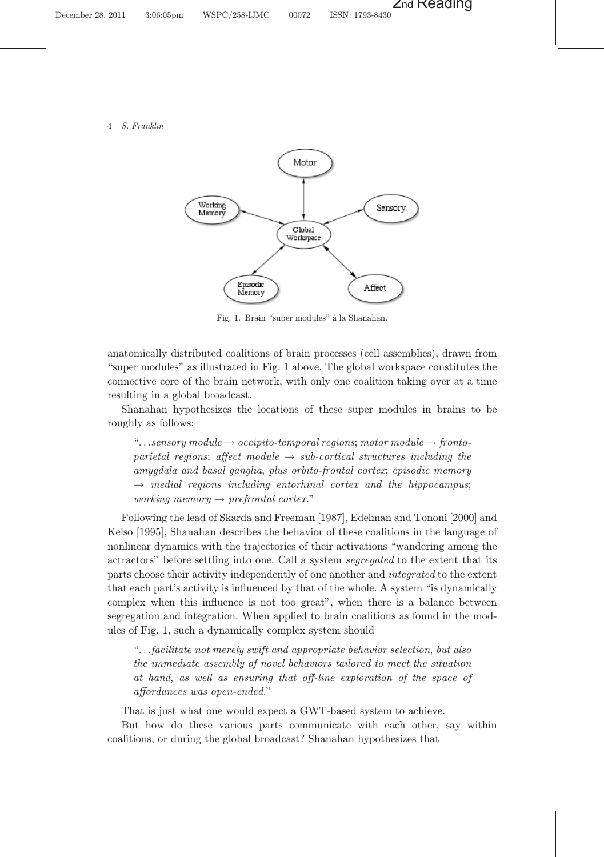<span id="page-3-0"></span>

Fig. 1. Brain "super modules" à la Shanahan.

anatomically distributed coalitions of brain processes (cell assemblies), drawn from "super modules" as illustrated in Fig. 1 above. The global workspace constitutes the connective core of the brain network, with only one coalition taking over at a time resulting in a global broadcast.

Shanahan hypothesizes the locations of these super modules in brains to be roughly as follows:

 $\ldots$ sensory module  $\rightarrow$  occipito-temporal regions; motor module  $\rightarrow$  frontoparietal regions; affect module  $\rightarrow$  sub-cortical structures including the amygdala and basal ganglia, plus orbito-frontal cortex; episodic memory  $\rightarrow$  medial regions including entorhinal cortex and the hippocampus; working memory  $\rightarrow$  prefrontal cortex."

Following the lead of [Skarda and Freeman](#page-10-0) [\[1987](#page-10-0)], [Edelman and Tononi](#page-9-0) [\[2000](#page-9-0)] and Kelso [1995], Shanahan describes the behavior of these coalitions in the language of nonlinear dynamics with the trajectories of their activations "wandering among the actractors" before settling into one. Call a system segregated to the extent that its parts choose their activity independently of one another and integrated to the extent that each part's activity is influenced by that of the whole. A system "is dynamically complex when this influence is not too great", when there is a balance between segregation and integration. When applied to brain coalitions as found in the modules of Fig. 1, such a dynamically complex system should

\...facilitate not merely swift and appropriate behavior selection, but also the immediate assembly of novel behaviors tailored to meet the situation at hand, as well as ensuring that off-line exploration of the space of affordances was open-ended."

That is just what one would expect a GWT-based system to achieve.

But how do these various parts communicate with each other, say within coalitions, or during the global broadcast? Shanahan hypothesizes that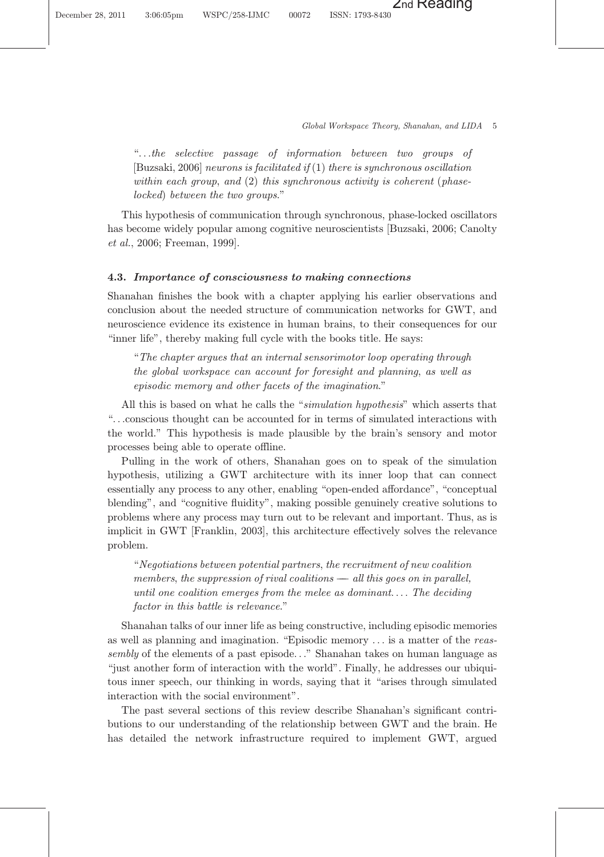\...the selective passage of information between two groups of [[Buzsaki](#page-9-0), [2006](#page-9-0)] neurons is facilitated if  $(1)$  there is synchronous oscillation within each group, and (2) this synchronous activity is coherent (phaselocked) between the two groups."

This hypothesis of communication through synchronous, phase-locked oscillators has become widely popular among cognitive neuroscientists [[Buzsaki, 2006](#page-9-0); [Canolty](#page-9-0) [et al.](#page-9-0), [2006;](#page-9-0) [Freeman](#page-10-0), [1999](#page-10-0)].

#### 4.3. Importance of consciousness to making connections

Shanahan finishes the book with a chapter applying his earlier observations and conclusion about the needed structure of communication networks for GWT, and neuroscience evidence its existence in human brains, to their consequences for our "inner life", thereby making full cycle with the books title. He says:

\The chapter argues that an internal sensorimotor loop operating through the global workspace can account for foresight and planning, as well as episodic memory and other facets of the imagination."

All this is based on what he calls the "simulation hypothesis" which asserts that \...conscious thought can be accounted for in terms of simulated interactions with the world." This hypothesis is made plausible by the brain's sensory and motor processes being able to operate offline.

Pulling in the work of others, Shanahan goes on to speak of the simulation hypothesis, utilizing a GWT architecture with its inner loop that can connect essentially any process to any other, enabling "open-ended affordance", "conceptual blending", and "cognitive fluidity", making possible genuinely creative solutions to problems where any process may turn out to be relevant and important. Thus, as is implicit in GWT  $[Franklin, 2003]$  $[Franklin, 2003]$  $[Franklin, 2003]$ , this architecture effectively solves the relevance problem.

\Negotiations between potential partners, the recruitment of new coalition members, the suppression of rival coalitions  $\frac{d}{dt}$  all this goes on in parallel. until one coalition emerges from the melee as dominant.... The deciding factor in this battle is relevance."

Shanahan talks of our inner life as being constructive, including episodic memories as well as planning and imagination. "Episodic memory  $\dots$  is a matter of the reassembly of the elements of a past episode..." Shanahan takes on human language as \just another form of interaction with the world". Finally, he addresses our ubiquitous inner speech, our thinking in words, saying that it "arises through simulated interaction with the social environment".

The past several sections of this review describe Shanahan's significant contributions to our understanding of the relationship between GWT and the brain. He has detailed the network infrastructure required to implement GWT, argued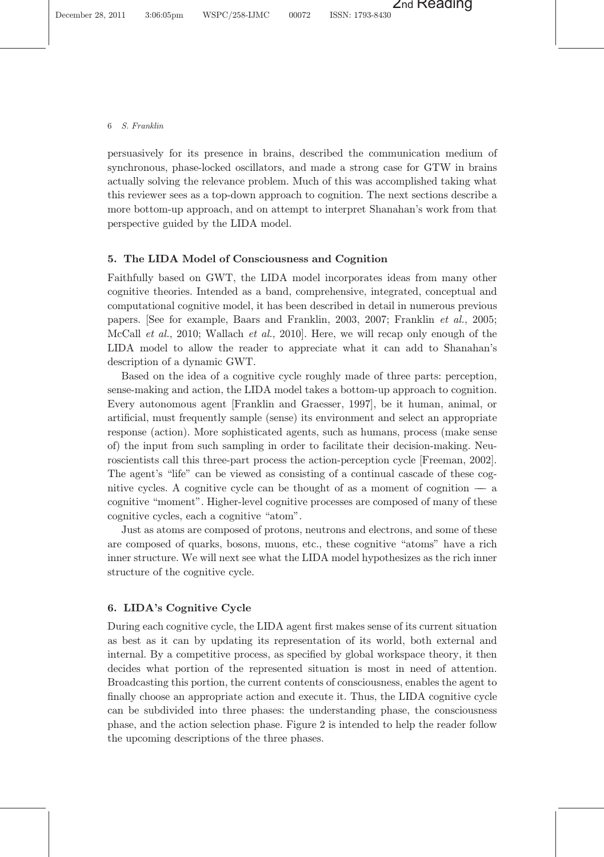persuasively for its presence in brains, described the communication medium of synchronous, phase-locked oscillators, and made a strong case for GTW in brains actually solving the relevance problem. Much of this was accomplished taking what this reviewer sees as a top-down approach to cognition. The next sections describe a more bottom-up approach, and on attempt to interpret Shanahan's work from that perspective guided by the LIDA model.

### 5. The LIDA Model of Consciousness and Cognition

Faithfully based on GWT, the LIDA model incorporates ideas from many other cognitive theories. Intended as a band, comprehensive, integrated, conceptual and computational cognitive model, it has been described in detail in numerous previous papers. [See for example, [Baars and Franklin](#page-9-0), [2003, 2007](#page-9-0); [Franklin](#page-10-0) et al., [2005;](#page-10-0) [McCall](#page-10-0) et al., [2010](#page-10-0); [Wallach](#page-10-0) et al., [2010](#page-10-0)]. Here, we will recap only enough of the LIDA model to allow the reader to appreciate what it can add to Shanahan's description of a dynamic GWT.

Based on the idea of a cognitive cycle roughly made of three parts: perception, sense-making and action, the LIDA model takes a bottom-up approach to cognition. Every autonomous agent [[Franklin and Graesser](#page-10-0), [1997](#page-10-0)], be it human, animal, or artificial, must frequently sample (sense) its environment and select an appropriate response (action). More sophisticated agents, such as humans, process (make sense of) the input from such sampling in order to facilitate their decision-making. Neuroscientists call this three-part process the action-perception cycle [\[Freeman, 2002\]](#page-10-0). The agent's "life" can be viewed as consisting of a continual cascade of these cognitive cycles. A cognitive cycle can be thought of as a moment of cognition  $\frac{1}{2}$ cognitive "moment". Higher-level cognitive processes are composed of many of these cognitive cycles, each a cognitive "atom".

Just as atoms are composed of protons, neutrons and electrons, and some of these are composed of quarks, bosons, muons, etc., these cognitive "atoms" have a rich inner structure. We will next see what the LIDA model hypothesizes as the rich inner structure of the cognitive cycle.

## 6. LIDA's Cognitive Cycle

During each cognitive cycle, the LIDA agent first makes sense of its current situation as best as it can by updating its representation of its world, both external and internal. By a competitive process, as specified by global workspace theory, it then decides what portion of the represented situation is most in need of attention. Broadcasting this portion, the current contents of consciousness, enables the agent to finally choose an appropriate action and execute it. Thus, the LIDA cognitive cycle can be subdivided into three phases: the understanding phase, the consciousness phase, and the action selection phase. Figure [2](#page-6-0) is intended to help the reader follow the upcoming descriptions of the three phases.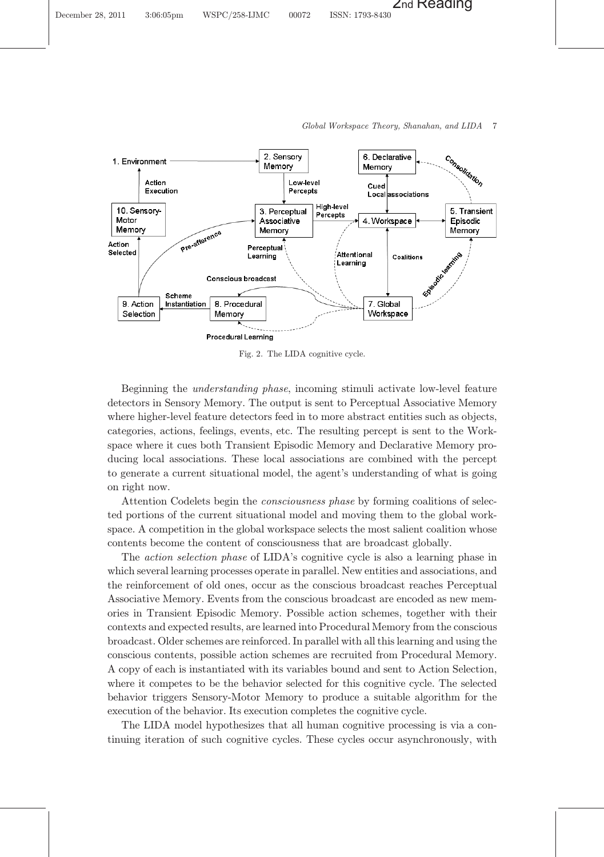<span id="page-6-0"></span>

Fig. 2. The LIDA cognitive cycle.

Beginning the understanding phase, incoming stimuli activate low-level feature detectors in Sensory Memory. The output is sent to Perceptual Associative Memory where higher-level feature detectors feed in to more abstract entities such as objects, categories, actions, feelings, events, etc. The resulting percept is sent to the Workspace where it cues both Transient Episodic Memory and Declarative Memory producing local associations. These local associations are combined with the percept to generate a current situational model, the agent's understanding of what is going on right now.

Attention Codelets begin the consciousness phase by forming coalitions of selected portions of the current situational model and moving them to the global workspace. A competition in the global workspace selects the most salient coalition whose contents become the content of consciousness that are broadcast globally.

The action selection phase of LIDA's cognitive cycle is also a learning phase in which several learning processes operate in parallel. New entities and associations, and the reinforcement of old ones, occur as the conscious broadcast reaches Perceptual Associative Memory. Events from the conscious broadcast are encoded as new memories in Transient Episodic Memory. Possible action schemes, together with their contexts and expected results, are learned into Procedural Memory from the conscious broadcast. Older schemes are reinforced. In parallel with all this learning and using the conscious contents, possible action schemes are recruited from Procedural Memory. A copy of each is instantiated with its variables bound and sent to Action Selection, where it competes to be the behavior selected for this cognitive cycle. The selected behavior triggers Sensory-Motor Memory to produce a suitable algorithm for the execution of the behavior. Its execution completes the cognitive cycle.

The LIDA model hypothesizes that all human cognitive processing is via a continuing iteration of such cognitive cycles. These cycles occur asynchronously, with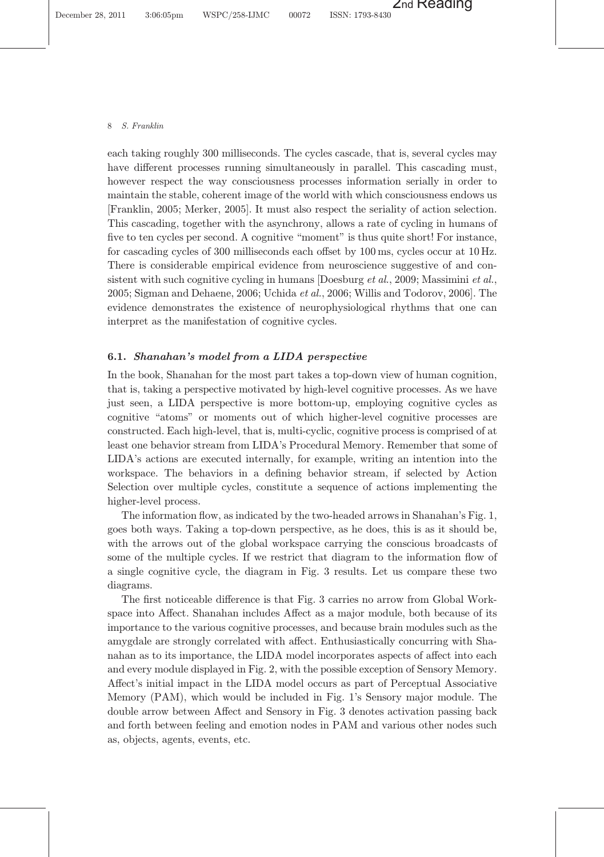each taking roughly 300 milliseconds. The cycles cascade, that is, several cycles may have different processes running simultaneously in parallel. This cascading must, however respect the way consciousness processes information serially in order to maintain the stable, coherent image of the world with which consciousness endows us [[Franklin, 2005; Merker](#page-10-0), [2005](#page-10-0)]. It must also respect the seriality of action selection. This cascading, together with the asynchrony, allows a rate of cycling in humans of five to ten cycles per second. A cognitive "moment" is thus quite short! For instance, for cascading cycles of  $300$  milliseconds each offset by  $100 \text{ ms}$ , cycles occur at  $10 \text{ Hz}$ . There is considerable empirical evidence from neuroscience suggestive of and consistent with such cognitive cycling in humans [[Doesburg](#page-9-0) et al., [2009;](#page-9-0) [Massimini](#page-10-0) et al., [2005](#page-10-0); [Sigman and Dehaene, 2006; Uchida](#page-10-0) et al., [2006](#page-10-0); [Willis and Todorov](#page-10-0), [2006](#page-10-0)]. The evidence demonstrates the existence of neurophysiological rhythms that one can interpret as the manifestation of cognitive cycles.

## 6.1. Shanahan's model from a LIDA perspective

In the book, Shanahan for the most part takes a top-down view of human cognition, that is, taking a perspective motivated by high-level cognitive processes. As we have just seen, a LIDA perspective is more bottom-up, employing cognitive cycles as cognitive "atoms" or moments out of which higher-level cognitive processes are constructed. Each high-level, that is, multi-cyclic, cognitive process is comprised of at least one behavior stream from LIDA's Procedural Memory. Remember that some of LIDA's actions are executed internally, for example, writing an intention into the workspace. The behaviors in a defining behavior stream, if selected by Action Selection over multiple cycles, constitute a sequence of actions implementing the higher-level process.

The information flow, as indicated by the two-headed arrows in Shanahan's Fig. [1,](#page-3-0) goes both ways. Taking a top-down perspective, as he does, this is as it should be, with the arrows out of the global workspace carrying the conscious broadcasts of some of the multiple cycles. If we restrict that diagram to the information flow of a single cognitive cycle, the diagram in Fig. [3](#page-8-0) results. Let us compare these two diagrams.

The first noticeable difference is that Fig. [3](#page-8-0) carries no arrow from Global Workspace into Affect. Shanahan includes Affect as a major module, both because of its importance to the various cognitive processes, and because brain modules such as the amygdale are strongly correlated with affect. Enthusiastically concurring with Shanahan as to its importance, the LIDA model incorporates aspects of affect into each and every module displayed in Fig. [2,](#page-6-0) with the possible exception of Sensory Memory. Affect's initial impact in the LIDA model occurs as part of Perceptual Associative Memory (PAM), which would be included in Fig. [1](#page-3-0)'s Sensory major module. The double arrow between Affect and Sensory in Fig. [3](#page-8-0) denotes activation passing back and forth between feeling and emotion nodes in PAM and various other nodes such as, objects, agents, events, etc.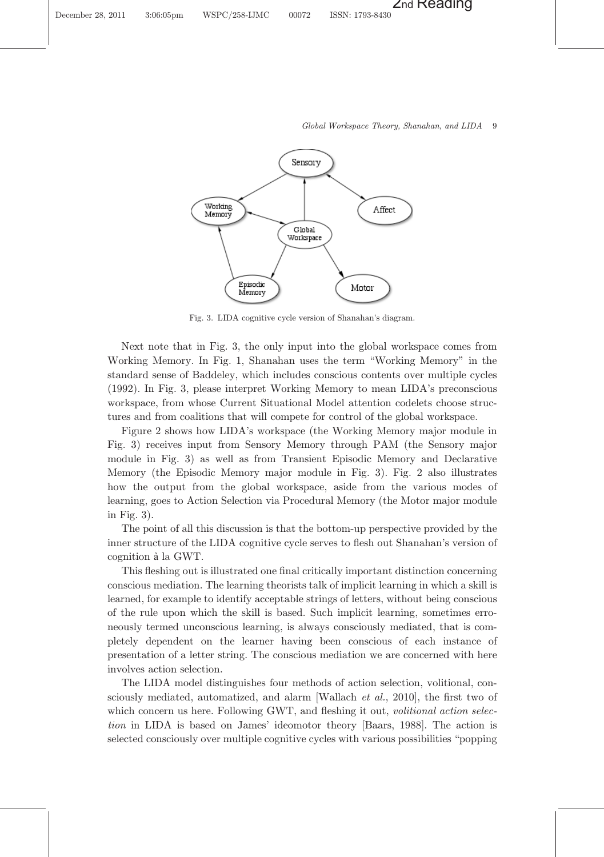<span id="page-8-0"></span>

Fig. 3. LIDA cognitive cycle version of Shanahan's diagram.

Next note that in Fig. 3, the only input into the global workspace comes from Working Memory. In Fig. [1](#page-3-0), Shanahan uses the term \Working Memory" in the standard sense of Baddeley, which includes conscious contents over multiple cycles (1992). In Fig. 3, please interpret Working Memory to mean LIDA's preconscious workspace, from whose Current Situational Model attention codelets choose structures and from coalitions that will compete for control of the global workspace.

Figure [2](#page-6-0) shows how LIDA's workspace (the Working Memory major module in Fig. 3) receives input from Sensory Memory through PAM (the Sensory major module in Fig. 3) as well as from Transient Episodic Memory and Declarative Memory (the Episodic Memory major module in Fig. 3). Fig. [2](#page-6-0) also illustrates how the output from the global workspace, aside from the various modes of learning, goes to Action Selection via Procedural Memory (the Motor major module in Fig. 3).

The point of all this discussion is that the bottom-up perspective provided by the inner structure of the LIDA cognitive cycle serves to flesh out Shanahan's version of cognition à la GWT.

This fleshing out is illustrated one final critically important distinction concerning conscious mediation. The learning theorists talk of implicit learning in which a skill is learned, for example to identify acceptable strings of letters, without being conscious of the rule upon which the skill is based. Such implicit learning, sometimes erroneously termed unconscious learning, is always consciously mediated, that is completely dependent on the learner having been conscious of each instance of presentation of a letter string. The conscious mediation we are concerned with here involves action selection.

The LIDA model distinguishes four methods of action selection, volitional, con-sciously mediated, automatized, and alarm [\[Wallach](#page-10-0)  $et al., 2010$ ], the first two of which concern us here. Following GWT, and fleshing it out, *volitional action selec*tion in LIDA is based on James' ideomotor theory [\[Baars, 1988](#page-9-0)]. The action is selected consciously over multiple cognitive cycles with various possibilities \popping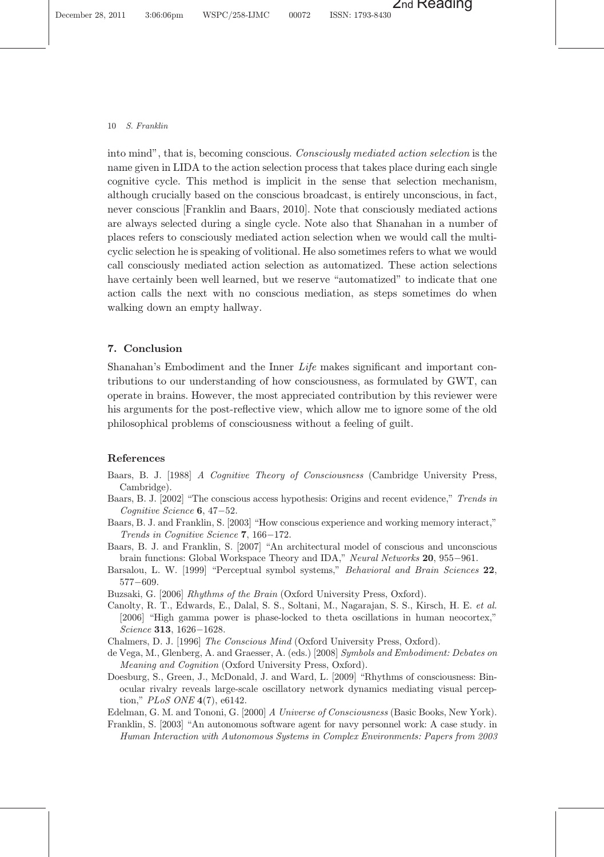<span id="page-9-0"></span>into mind", that is, becoming conscious. Consciously mediated action selection is the name given in LIDA to the action selection process that takes place during each single cognitive cycle. This method is implicit in the sense that selection mechanism, although crucially based on the conscious broadcast, is entirely unconscious, in fact, never conscious [[Franklin and Baars, 2010](#page-10-0)]. Note that consciously mediated actions are always selected during a single cycle. Note also that Shanahan in a number of places refers to consciously mediated action selection when we would call the multicyclic selection he is speaking of volitional. He also sometimes refers to what we would call consciously mediated action selection as automatized. These action selections have certainly been well learned, but we reserve "automatized" to indicate that one action calls the next with no conscious mediation, as steps sometimes do when walking down an empty hallway.

### 7. Conclusion

Shanahan's Embodiment and the Inner Life makes significant and important contributions to our understanding of how consciousness, as formulated by GWT, can operate in brains. However, the most appreciated contribution by this reviewer were his arguments for the post-reflective view, which allow me to ignore some of the old philosophical problems of consciousness without a feeling of guilt.

#### References

- Baars, B. J. [1988] A Cognitive Theory of Consciousness (Cambridge University Press, Cambridge).
- Baars, B. J. [2002] "The conscious access hypothesis: Origins and recent evidence," Trends in Cognitive Science  $6, 47-52.$
- Baars, B. J. and Franklin, S. [2003] "How conscious experience and working memory interact," Trends in Cognitive Science  $7, 166-172$ .
- Baars, B. J. and Franklin, S. [2007] "An architectural model of conscious and unconscious brain functions: Global Workspace Theory and IDA," Neural Networks 20, 955-961.
- Barsalou, L. W. [1999] "Perceptual symbol systems," Behavioral and Brain Sciences 22, 577609.
- Buzsaki, G. [2006] Rhythms of the Brain (Oxford University Press, Oxford).
- Canolty, R. T., Edwards, E., Dalal, S. S., Soltani, M., Nagarajan, S. S., Kirsch, H. E. et al. [2006] "High gamma power is phase-locked to theta oscillations in human neocortex,"  $Science$  313, 1626-1628.
- Chalmers, D. J. [1996] The Conscious Mind (Oxford University Press, Oxford).
- de Vega, M., Glenberg, A. and Graesser, A. (eds.) [2008] Symbols and Embodiment: Debates on Meaning and Cognition (Oxford University Press, Oxford).
- Doesburg, S., Green, J., McDonald, J. and Ward, L. [2009] "Rhythms of consciousness: Binocular rivalry reveals large-scale oscillatory network dynamics mediating visual perception," PLoS ONE 4(7), e6142.
- Edelman, G. M. and Tononi, G. [2000] A Universe of Consciousness (Basic Books, New York).
- Franklin, S. [2003] "An autonomous software agent for navy personnel work: A case study. in Human Interaction with Autonomous Systems in Complex Environments: Papers from 2003